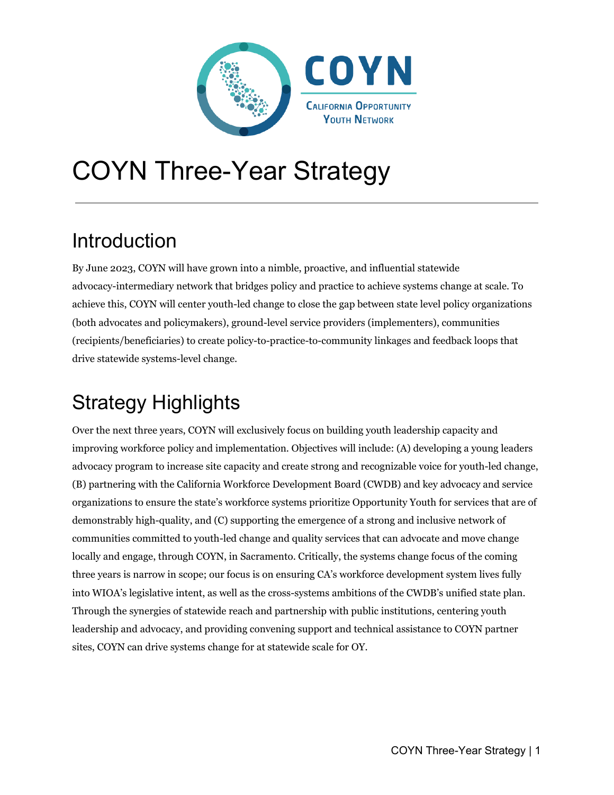

# COYN Three-Year Strategy

### Introduction

By June 2023, COYN will have grown into a nimble, proactive, and influential statewide advocacy-intermediary network that bridges policy and practice to achieve systems change at scale. To achieve this, COYN will center youth-led change to close the gap between state level policy organizations (both advocates and policymakers), ground-level service providers (implementers), communities (recipients/beneficiaries) to create policy-to-practice-to-community linkages and feedback loops that drive statewide systems-level change.

# Strategy Highlights

Over the next three years, COYN will exclusively focus on building youth leadership capacity and improving workforce policy and implementation. Objectives will include: (A) developing a young leaders advocacy program to increase site capacity and create strong and recognizable voice for youth-led change, (B) partnering with the California Workforce Development Board (CWDB) and key advocacy and service organizations to ensure the state's workforce systems prioritize Opportunity Youth for services that are of demonstrably high-quality, and (C) supporting the emergence of a strong and inclusive network of communities committed to youth-led change and quality services that can advocate and move change locally and engage, through COYN, in Sacramento. Critically, the systems change focus of the coming three years is narrow in scope; our focus is on ensuring CA's workforce development system lives fully into WIOA's legislative intent, as well as the cross-systems ambitions of the CWDB's unified state plan. Through the synergies of statewide reach and partnership with public institutions, centering youth leadership and advocacy, and providing convening support and technical assistance to COYN partner sites, COYN can drive systems change for at statewide scale for OY.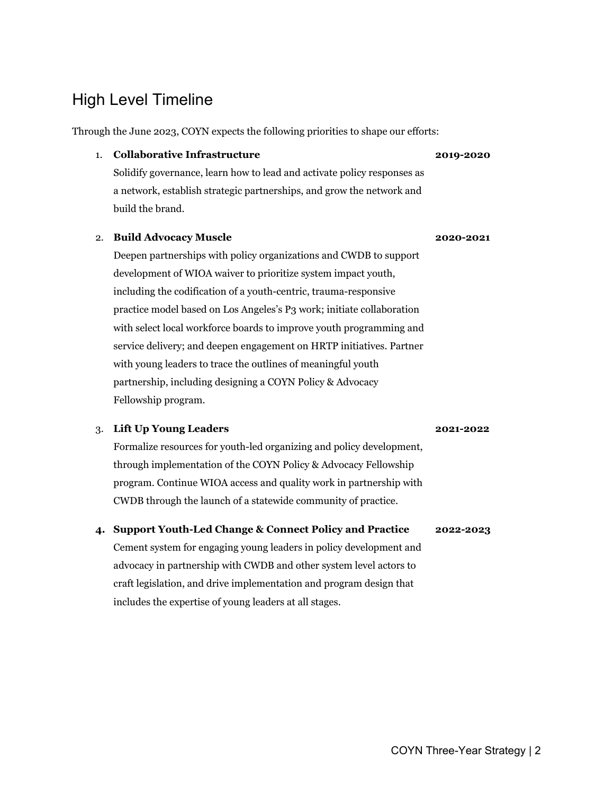### High Level Timeline

Through the June 2023, COYN expects the following priorities to shape our efforts:

#### 1. **Collaborative Infrastructure** Solidify governance, learn how to lead and activate policy responses as a network, establish strategic partnerships, and grow the network and build the brand. **2019-2020**

#### 2. **Build Advocacy Muscle**

Deepen partnerships with policy organizations and CWDB to support development of WIOA waiver to prioritize system impact youth, including the codification of a youth-centric, trauma-responsive practice model based on Los Angeles's P3 work; initiate collaboration with select local workforce boards to improve youth programming and service delivery; and deepen engagement on HRTP initiatives. Partner with young leaders to trace the outlines of meaningful youth partnership, including designing a COYN Policy & Advocacy Fellowship program.

#### 3. **Lift Up Young Leaders**

Formalize resources for youth-led organizing and policy development, through implementation of the COYN Policy & Advocacy Fellowship program. Continue WIOA access and quality work in partnership with CWDB through the launch of a statewide community of practice.

#### **4. Support Youth-Led Change & Connect Policy and Practice 2022-2023**

Cement system for engaging young leaders in policy development and advocacy in partnership with CWDB and other system level actors to craft legislation, and drive implementation and program design that includes the expertise of young leaders at all stages.

**2020-2021**

**2021-2022**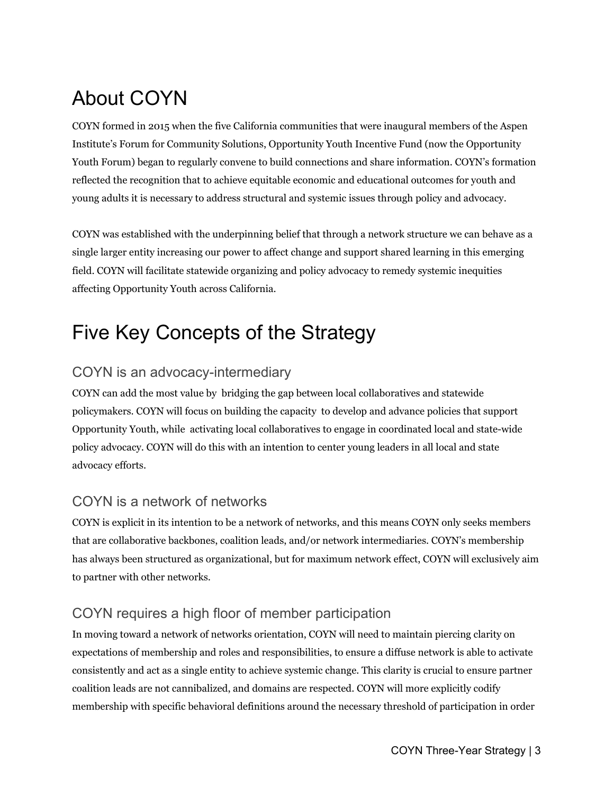# About COYN

COYN formed in 2015 when the five California communities that were inaugural members of the Aspen Institute's Forum for Community Solutions, Opportunity Youth Incentive Fund (now the Opportunity Youth Forum) began to regularly convene to build connections and share information. COYN's formation reflected the recognition that to achieve equitable economic and educational outcomes for youth and young adults it is necessary to address structural and systemic issues through policy and advocacy.

COYN was established with the underpinning belief that through a network structure we can behave as a single larger entity increasing our power to affect change and support shared learning in this emerging field. COYN will facilitate statewide organizing and policy advocacy to remedy systemic inequities affecting Opportunity Youth across California.

## Five Key Concepts of the Strategy

#### COYN is an advocacy-intermediary

COYN can add the most value by bridging the gap between local collaboratives and statewide policymakers. COYN will focus on building the capacity to develop and advance policies that support Opportunity Youth, while activating local collaboratives to engage in coordinated local and state-wide policy advocacy. COYN will do this with an intention to center young leaders in all local and state advocacy efforts.

#### COYN is a network of networks

COYN is explicit in its intention to be a network of networks, and this means COYN only seeks members that are collaborative backbones, coalition leads, and/or network intermediaries. COYN's membership has always been structured as organizational, but for maximum network effect, COYN will exclusively aim to partner with other networks.

### COYN requires a high floor of member participation

In moving toward a network of networks orientation, COYN will need to maintain piercing clarity on expectations of membership and roles and responsibilities, to ensure a diffuse network is able to activate consistently and act as a single entity to achieve systemic change. This clarity is crucial to ensure partner coalition leads are not cannibalized, and domains are respected. COYN will more explicitly codify membership with specific behavioral definitions around the necessary threshold of participation in order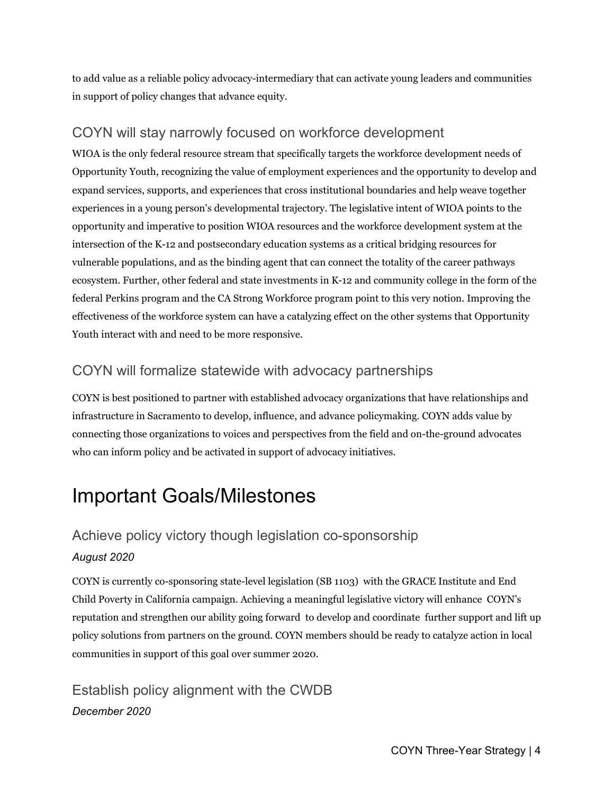to add value as a reliable policy advocacy-intermediary that can activate young leaders and communities in support of policy changes that advance equity.

#### COYN will stay narrowly focused on workforce development

WIOA is the only federal resource stream that specifically targets the workforce development needs of Opportunity Youth, recognizing the value of employment experiences and the opportunity to develop and expand services, supports, and experiences that cross institutional boundaries and help weave together experiences in a young person's developmental trajectory. The legislative intent of WIOA points to the opportunity and imperative to position WIOA resources and the workforce development system at the intersection of the K-12 and postsecondary education systems as a critical bridging resources for vulnerable populations, and as the binding agent that can connect the totality of the career pathways ecosystem. Further, other federal and state investments in K-12 and community college in the form of the federal Perkins program and the CA Strong Workforce program point to this very notion. Improving the effectiveness of the workforce system can have a catalyzing effect on the other systems that Opportunity Youth interact with and need to be more responsive.

#### COYN will formalize statewide with advocacy partnerships

COYN is best positioned to partner with established advocacy organizations that have relationships and infrastructure in Sacramento to develop, influence, and advance policymaking. COYN adds value by connecting those organizations to voices and perspectives from the field and on-the-ground advocates who can inform policy and be activated in support of advocacy initiatives.

### Important Goals/Milestones

### Achieve policy victory though legislation co-sponsorship *August 2020*

COYN is currently co-sponsoring state-level legislation (SB 1103) with the GRACE Institute and End Child Poverty in California campaign. Achieving a meaningful legislative victory will enhance COYN's reputation and strengthen our ability going forward to develop and coordinate further support and lift up policy solutions from partners on the ground. COYN members should be ready to catalyze action in local communities in support of this goal over summer 2020.

### Establish policy alignment with the CWDB *December 2020*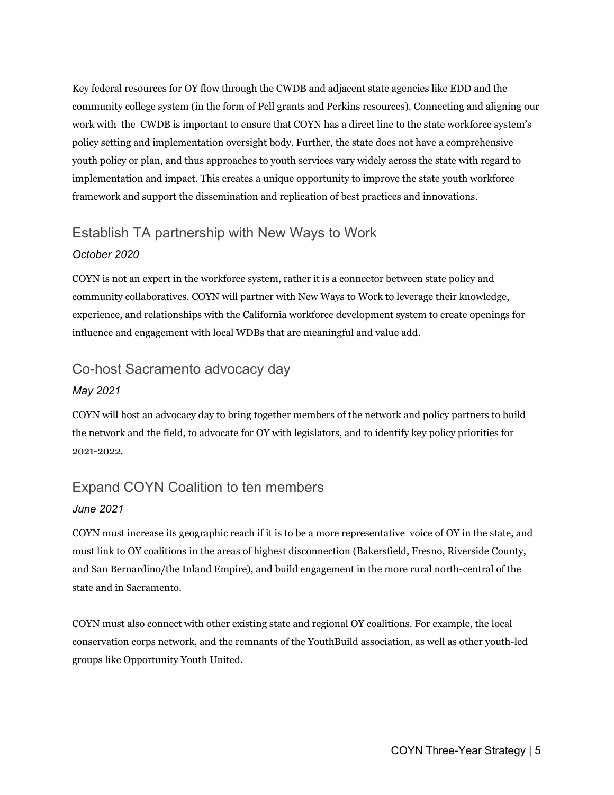Key federal resources for OY flow through the CWDB and adjacent state agencies like EDD and the community college system (in the form of Pell grants and Perkins resources). Connecting and aligning our work with the CWDB is important to ensure that COYN has a direct line to the state workforce system's policy setting and implementation oversight body. Further, the state does not have a comprehensive youth policy or plan, and thus approaches to youth services vary widely across the state with regard to implementation and impact. This creates a unique opportunity to improve the state youth workforce framework and support the dissemination and replication of best practices and innovations.

# Establish TA partnership with New Ways to Work

#### *October 2020*

COYN is not an expert in the workforce system, rather it is a connector between state policy and community collaboratives. COYN will partner with New Ways to Work to leverage their knowledge, experience, and relationships with the California workforce development system to create openings for influence and engagement with local WDBs that are meaningful and value add.

#### Co-host Sacramento advocacy day

#### *May 2021*

COYN will host an advocacy day to bring together members of the network and policy partners to build the network and the field, to advocate for OY with legislators, and to identify key policy priorities for 2021-2022.

#### Expand COYN Coalition to ten members

#### *June 2021*

COYN must increase its geographic reach if it is to be a more representative voice of OY in the state, and must link to OY coalitions in the areas of highest disconnection (Bakersfield, Fresno, Riverside County, and San Bernardino/the Inland Empire), and build engagement in the more rural north-central of the state and in Sacramento.

COYN must also connect with other existing state and regional OY coalitions. For example, the local conservation corps network, and the remnants of the YouthBuild association, as well as other youth-led groups like Opportunity Youth United.